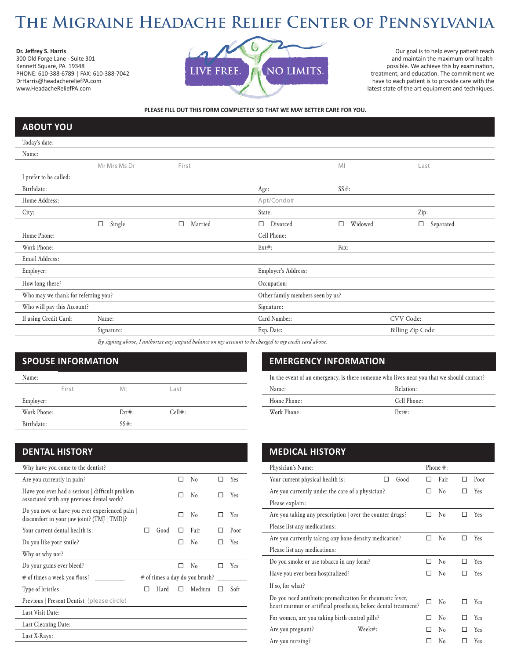## THE MIGRAINE HEADACHE RELIEF CENTER OF PENNSYLVANIA

**Dr. Jeffrey S. Harris** 300 Old Forge Lane - Suite 301 Kennett Square, PA 19348 PHONE: 610-388-6789 | FAX: 610-388-7042 DrHarris@headachereliefPA.com www.HeadacheReliefPA.com



Our goal is to help every patient reach and maintain the maximum oral health possible. We achieve this by examination, treatment, and education. The commitment we have to each patient is to provide care with the latest state of the art equipment and techniques.

**PLEASE FILL OUT THIS FORM COMPLETELY SO THAT WE MAY BETTER CARE FOR YOU.**

## **ABOUT YOU**

| Today's date:                       |                  |              |                                                                                                     |                   |                   |  |  |
|-------------------------------------|------------------|--------------|-----------------------------------------------------------------------------------------------------|-------------------|-------------------|--|--|
| Name:                               |                  |              |                                                                                                     |                   |                   |  |  |
|                                     | Mr Mrs Ms Dr     | First        |                                                                                                     | M <sub>l</sub>    | Last              |  |  |
| I prefer to be called:              |                  |              |                                                                                                     |                   |                   |  |  |
| Birthdate:                          |                  |              | Age:                                                                                                | $SS#$ :           |                   |  |  |
| Home Address:                       |                  |              | Apt/Condo#                                                                                          |                   |                   |  |  |
| City:                               |                  |              | State:                                                                                              |                   | Zip:              |  |  |
|                                     | Single<br>$\Box$ | Married<br>□ | Divorced<br>$\Box$                                                                                  | Widowed<br>$\Box$ | □<br>Separated    |  |  |
| Home Phone:                         |                  |              | Cell Phone:                                                                                         |                   |                   |  |  |
| Work Phone:                         |                  |              | $Ext#$ :                                                                                            | Fax:              |                   |  |  |
| Email Address:                      |                  |              |                                                                                                     |                   |                   |  |  |
| Employer:                           |                  |              | Employer's Address:                                                                                 |                   |                   |  |  |
| How long there?                     |                  |              | Occupation:                                                                                         |                   |                   |  |  |
| Who may we thank for referring you? |                  |              | Other family members seen by us?                                                                    |                   |                   |  |  |
| Who will pay this Account?          |                  |              | Signature:                                                                                          |                   |                   |  |  |
| If using Credit Card:               | Name:            |              | Card Number:                                                                                        |                   | CVV Code:         |  |  |
|                                     | Signature:       |              | Exp. Date:                                                                                          |                   | Billing Zip Code: |  |  |
|                                     |                  |              | By signing ghose I quthorize any unpaid halance on my account to be charged to my credit card ghose |                   |                   |  |  |

*By signing above, I authorize any unpaid balance on my account to be charged to my credit card above.*

## **SPOUSE INFORMATION**

| Name:       |       |          |           |
|-------------|-------|----------|-----------|
|             | First | MI       | Last      |
| Employer:   |       |          |           |
| Work Phone: |       | $Ext#$ : | $Cell$ #: |
| Birthdate:  |       | $SS#$ :  |           |

### **DENTAL HISTORY**

| Why have you come to the dentist?                                                            |   |      |   |                                         |     |      |
|----------------------------------------------------------------------------------------------|---|------|---|-----------------------------------------|-----|------|
| Are you currently in pain?                                                                   |   |      |   | N <sub>0</sub>                          |     | Yes  |
| Have you ever had a serious   difficult problem<br>associated with any previous dental work? |   |      |   | N <sub>0</sub>                          |     | Yes  |
| Do you now or have you ever experienced pain  <br>discomfort in your jaw joint? (TMJ   TMD)? |   |      |   | $\rm No$                                |     | Yes  |
| Your current dental health is:                                                               |   | Good |   | Fair                                    |     | Poor |
| Do you like your smile?                                                                      |   |      |   | N <sub>0</sub>                          |     | Yes  |
| Why or why not?                                                                              |   |      |   |                                         |     |      |
| Do your gums ever bleed?                                                                     |   |      |   | N <sub>0</sub>                          | . . | Yes  |
| # of times a week you floss?                                                                 |   |      |   | $#$ of times a day do you brush? $\_\_$ |     |      |
| Type of bristles:                                                                            | H | Hard | П | Medium                                  | П   | Soft |
| Previous   Present Dentist (please circle)                                                   |   |      |   |                                         |     |      |
| Last Visit Date:                                                                             |   |      |   |                                         |     |      |
| Last Cleaning Date:                                                                          |   |      |   |                                         |     |      |
| Last X-Rays:                                                                                 |   |      |   |                                         |     |      |

### **EMERGENCY INFORMATION**

In the event of an emergency, is there someone who lives near you that we should contact?

| Name:       | Relation:   |
|-------------|-------------|
| Home Phone: | Cell Phone: |
| Work Phone: | $Ext#$ :    |

| <b>MEDICAL HISTORY</b>                                                                                                       |  |                |   |      |  |  |  |  |
|------------------------------------------------------------------------------------------------------------------------------|--|----------------|---|------|--|--|--|--|
| Physician's Name:                                                                                                            |  | Phone $#$ :    |   |      |  |  |  |  |
| Your current physical health is:<br>Good                                                                                     |  | Fair           | П | Poor |  |  |  |  |
| Are you currently under the care of a physician?                                                                             |  | $\rm No$       |   | Yes  |  |  |  |  |
| Please explain:                                                                                                              |  |                |   |      |  |  |  |  |
| Are you taking any prescription   over the counter drugs?                                                                    |  | N <sub>0</sub> | П | Yes  |  |  |  |  |
| Please list any medications:                                                                                                 |  |                |   |      |  |  |  |  |
| Are you currently taking any bone density medication?                                                                        |  | $\rm No$       |   | Yes  |  |  |  |  |
| Please list any medications:                                                                                                 |  |                |   |      |  |  |  |  |
| Do you smoke or use tobacco in any form?                                                                                     |  | N <sub>0</sub> | п | Yes  |  |  |  |  |
| Have you ever been hospitalized?                                                                                             |  | No             |   | Yes  |  |  |  |  |
| If so, for what?                                                                                                             |  |                |   |      |  |  |  |  |
| Do you need antibiotic premedication for rheumatic fever,<br>heart murmur or artificial prosthesis, before dental treatment? |  | N <sub>0</sub> |   | Yes  |  |  |  |  |
| For women, are you taking birth control pills?                                                                               |  | N <sub>0</sub> |   | Yes  |  |  |  |  |
| Week#:<br>Are you pregnant?                                                                                                  |  | $\rm No$       |   | Yes  |  |  |  |  |
| Are you nursing?                                                                                                             |  | N <sub>0</sub> |   | Yes  |  |  |  |  |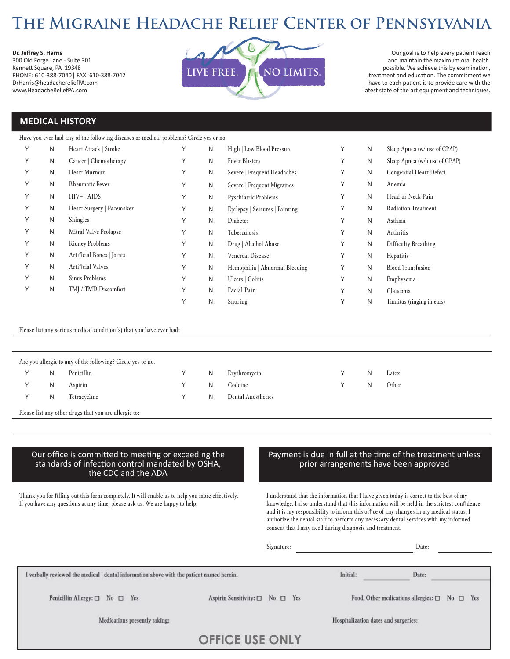## THE MIGRAINE HEADACHE RELIEF CENTER OF PENNSYLVANIA

**Dr. Jeffrey S. Harris**

300 Old Forge Lane - Suite 301 Kennett Square, PA 19348 PHONE: 610-388-7040 | FAX: 610-388-7042 DrHarris@headachereliefPA.com www.HeadacheReliefPA.com



Our goal is to help every patient reach and maintain the maximum oral health possible. We achieve this by examination, treatment and education. The commitment we have to each patient is to provide care with the latest state of the art equipment and techniques.

### **MEDICAL HISTORY**

#### Have you ever had any of the following diseases or medical problems? Circle yes or no.

|   | N | Heart Attack   Stroke     | Υ | N | High   Low Blood Pressure      | Υ      | N | Sleep Apnea (w/ use of CPAP)   |
|---|---|---------------------------|---|---|--------------------------------|--------|---|--------------------------------|
| Υ | N | Cancer   Chemotherapy     | Υ | N | <b>Fever Blisters</b>          | Υ      | N | Sleep Apnea (w/o use of CPAP)  |
|   | N | Heart Murmur              | Υ | N | Severe   Frequent Headaches    | Υ      | N | <b>Congenital Heart Defect</b> |
|   | N | <b>Rheumatic Fever</b>    | Υ | N | Severe   Frequent Migraines    | Υ      | N | Anemia                         |
| Υ | N | $HIV+ AIDS$               | Υ | N | Pyschiatric Problems           | Υ      | N | Head or Neck Pain              |
|   | N | Heart Surgery   Pacemaker | Υ | N | Epilepsy   Seizures   Fainting | Υ      | N | <b>Radiation Treatment</b>     |
|   | N | Shingles                  | Υ | N | <b>Diabetes</b>                | Υ      | N | Asthma                         |
| Υ | N | Mitral Valve Prolapse     | Υ | N | Tuberculosis                   | Υ      | N | Arthritis                      |
| Υ | N | Kidney Problems           | Υ | N | Drug   Alcohol Abuse           | Υ      | N | Difficulty Breathing           |
|   | N | Artificial Bones   Joints | Υ | N | <b>Venereal Disease</b>        | Υ      | N | Hepatitis                      |
| Υ | N | Artificial Valves         | Υ | N | Hemophilia   Abnormal Bleeding | Υ      | N | <b>Blood Transfusion</b>       |
| Υ | N | Sinus Problems            | Υ | N | Ulcers   Colitis               | Υ      | N | Emphysema                      |
|   | N | TMJ / TMD Discomfort      | Υ | N | Facial Pain                    | Υ      | N | Glaucoma                       |
|   |   |                           | Υ | N | Snoring                        | $\vee$ | N | Tinnitus (ringing in ears)     |

#### Please list any serious medical condition(s) that you have ever had:

|   | Are you allergic to any of the following? Circle yes or no. |   |                    |   |       |
|---|-------------------------------------------------------------|---|--------------------|---|-------|
| N | Penicillin                                                  | N | Erythromycin       | N | Latex |
| N | Aspirin                                                     | N | Codeine            | N | Other |
| N | Tetracycline                                                | N | Dental Anesthetics |   |       |
|   |                                                             |   |                    |   |       |

Please list any other drugs that you are allergic to:

#### Our office is committed to meeting or exceeding the standards of infection control mandated by OSHA, the CDC and the ADA

Thank you for filling out this form completely. It will enable us to help you more effectively. If you have any questions at any time, please ask us. We are happy to help.

#### Payment is due in full at the time of the treatment unless prior arrangements have been approved

I understand that the information that I have given today is correct to the best of my knowledge. I also understand that this information will be held in the strictest confidence and it is my responsibility to inform this office of any changes in my medical status. I authorize the dental staff to perform any necessary dental services with my informed consent that I may need during diagnosis and treatment.

Signature: Date:

| [verbally reviewed the medical   dental information above with the patient named herein. |                                                 | Initial:                             | Date:                                                         |
|------------------------------------------------------------------------------------------|-------------------------------------------------|--------------------------------------|---------------------------------------------------------------|
| Penicillin Allergy: $\square$ No $\square$ Yes                                           | Aspirin Sensitivity: $\square$ No $\square$ Yes |                                      | Food, Other medications allergies: $\square$ No $\square$ Yes |
| Medications presently taking:                                                            |                                                 | Hospitalization dates and surgeries: |                                                               |
|                                                                                          | <b>OFFICE USE ONLY</b>                          |                                      |                                                               |